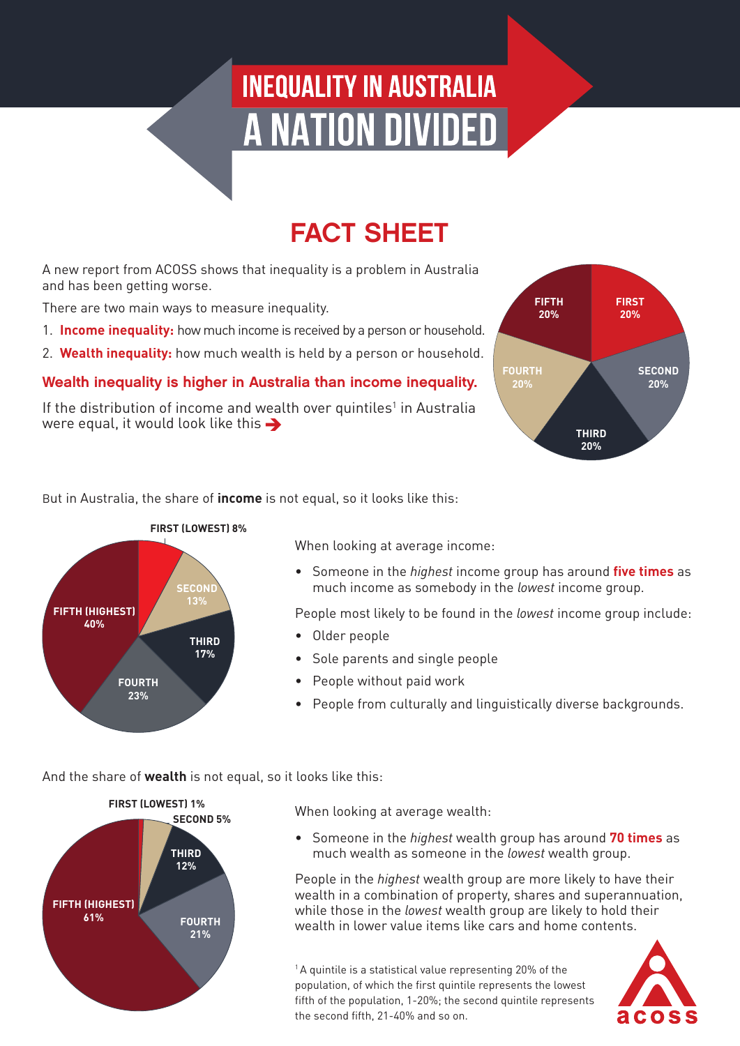# **INEQUALITY IN AUSTRALIA**

## FACT SHEET

A new report from ACOSS shows that inequality is a problem in Australia and has been getting worse.

There are two main ways to measure inequality.

- 1. **Income inequality:** how much income is received by a person or household.
- 2. **Wealth inequality:** how much wealth is held by a person or household.

#### Wealth inequality is higher in Australia than income inequality.

If the distribution of income and wealth over quintiles<sup>1</sup> in Australia were equal, it would look like this  $\rightarrow$ 



But in Australia, the share of **income** is not equal, so it looks like this:



When looking at average income:

• Someone in the *highest* income group has around **five times** as much income as somebody in the *lowest* income group.

People most likely to be found in the *lowest* income group include:

- Older people
- Sole parents and single people
- People without paid work
- People from culturally and linguistically diverse backgrounds.

And the share of **wealth** is not equal, so it looks like this:



When looking at average wealth:

• Someone in the *highest* wealth group has around **70 times** as much wealth as someone in the *lowest* wealth group.

People in the *highest* wealth group are more likely to have their wealth in a combination of property, shares and superannuation, while those in the *lowest* wealth group are likely to hold their wealth in lower value items like cars and home contents.

<sup>1</sup>A quintile is a statistical value representing 20% of the population, of which the first quintile represents the lowest fifth of the population, 1-20%; the second quintile represents the second fifth, 21-40% and so on.